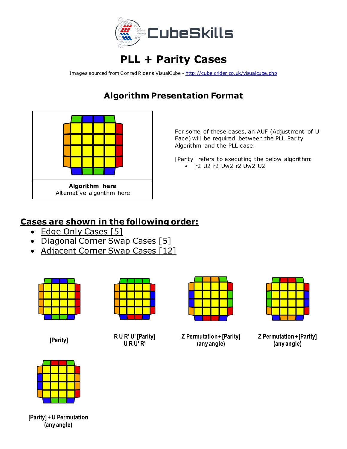

## **PLL + Parity Cases**

Images sourced from Conrad Rider's VisualCube - <http://cube.crider.co.uk/visualcube.php>

## **Algorithm Presentation Format**



For some of these cases, an AUF (Adjustment of U Face) will be required between the PLL Parity Algorithm and the PLL case.

[Parity] refers to executing the below algorithm: • r2 U2 r2 Uw2 r2 Uw2 U2

## **Cases are shown in the following order:**

- Edge Only Cases [5]
- Diagonal Corner Swap Cases [5]
- Adjacent Corner Swap Cases [12]





**[Parity] R U R' U' [Parity] U R U' R'**

**Z Permutation + [Parity] (any angle)**

**Z Permutation + [Parity] (any angle)**



**[Parity] + U Permutation (any angle)**